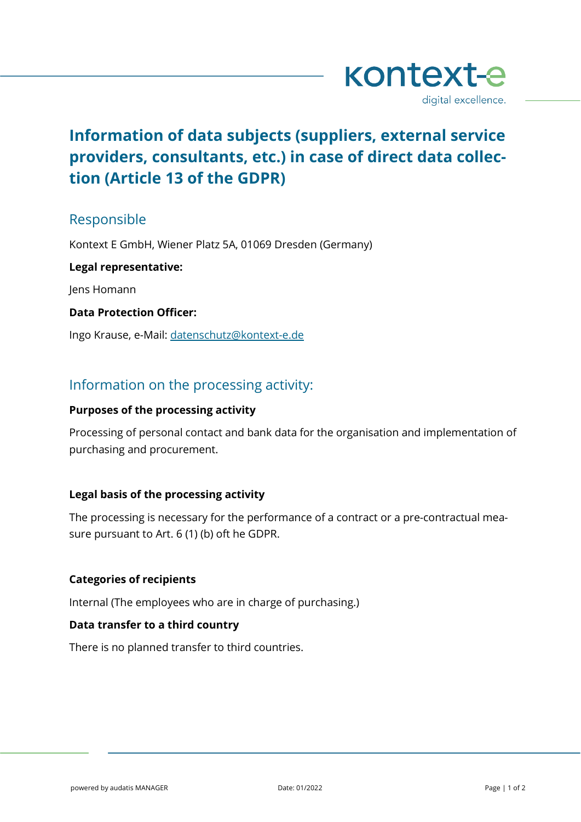

# **Information of data subjects (suppliers, external service providers, consultants, etc.) in case of direct data collection (Article 13 of the GDPR)**

# Responsible

Kontext E GmbH, Wiener Platz 5A, 01069 Dresden (Germany)

**Legal representative:**

Jens Homann

### **Data Protection Officer:**

Ingo Krause, e-Mail: [datenschutz@kontext-e.de](mailto:datenschutz@kontext-e.de)

# Information on the processing activity:

### **Purposes of the processing activity**

Processing of personal contact and bank data for the organisation and implementation of purchasing and procurement.

# **Legal basis of the processing activity**

The processing is necessary for the performance of a contract or a pre-contractual measure pursuant to Art. 6 (1) (b) oft he GDPR.

# **Categories of recipients**

Internal (The employees who are in charge of purchasing.)

### **Data transfer to a third country**

There is no planned transfer to third countries.